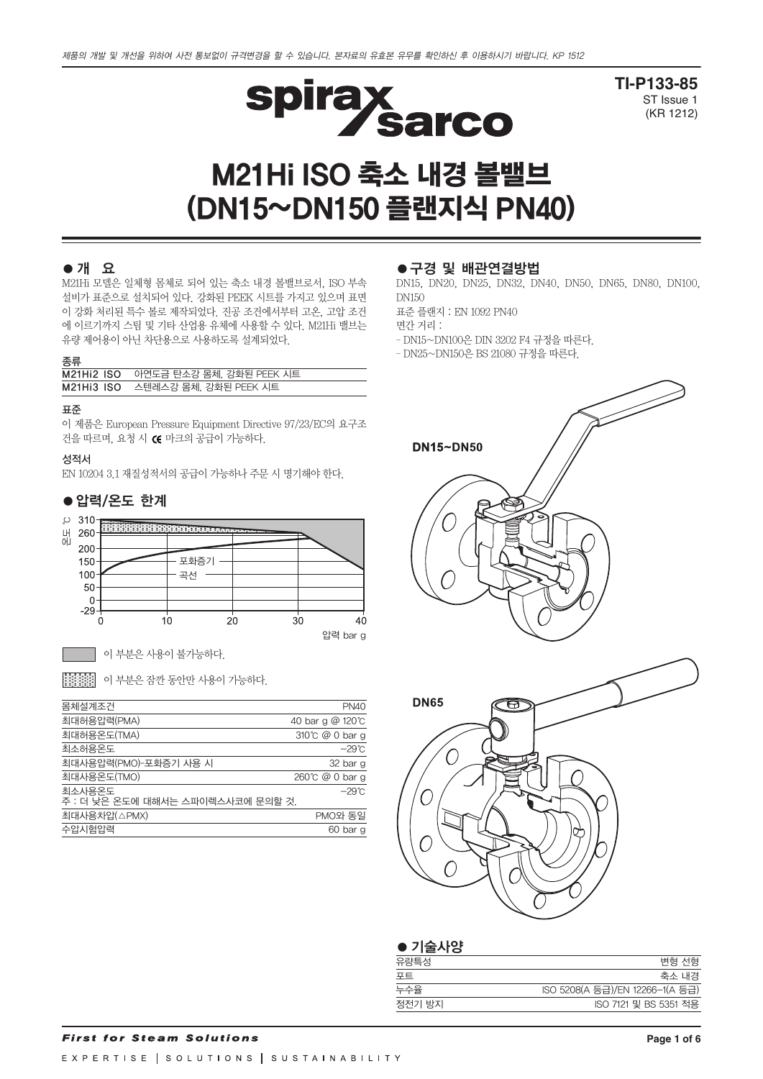

**TI-P133-85** ST Issue 1 (KR 1212)

# M21Hi ISO 축소 내경 볼밸브 (DN15~DN150 플랜지식 PN40)

## ●개 요

M21Hi 모델은 일체형 몸체로 되어 있는 축소 내경 볼밸브로서, ISO 부속 설비가 표준으로 설치되어 있다. 강화된 PEEK 시트를 가지고 있으며 표면 이 강화 처리된 특수 볼로 제작되었다. 진공 조건에서부터 고온, 고압 조건 에 이르기까지 스팀 및 기타 산업용 유체에 사용할 수 있다. M21Hi 밸브는 유량 제어용이 아닌 차단용으로 사용하도록 설계되었다.

#### 종류

| M21Hi2 ISO 아연도금 탄소강 몸체, 강화된 PEEK 시트 |
|-------------------------------------|
| M21Hi3 ISO 스텐레스강 몸체, 강화된 PEEK 시트    |

#### 표준

이 제품은 European Pressure Equipment Directive 97/23/EC의 요구조 건을 따르며, 요청 시 CE 마크의 공급이 가능하다.

#### 성적서

EN 10204 3.1 재질성적서의 공급이 가능하나 주문 시 명기해야 한다.

## ● 압력/온도 한계



압력 bar g

이 부분은 사용이 불가능하다.

| 第222 이 부분은 잠깐 동안만 사용이 가능하다.

| 몸체설계조건                                      | <b>PN40</b>      |
|---------------------------------------------|------------------|
| 최대허용압력(PMA)                                 | 40 bar g @ 120°C |
| 최대허용온도(TMA)                                 | 310°C @ 0 bar g  |
| 최소허용온도                                      | $-29^{\circ}$ C  |
| 최대사용압력(PMO)-포화증기 사용 시                       | 32 bar g         |
| 최대사용온도(TMO)                                 | 260℃ @ 0 bar g   |
| 최소사용온도<br>주 : 더 낮은 온도에 대해서는 스파이렉스사코에 문의할 것. | $-29^\circ$ C    |
| 최대사용차압(△PMX)                                | PMO와 동일          |
| 수압시험압력                                      | 60 bar g         |
|                                             |                  |

#### ●구경 및 배관연결방법

DN15, DN20, DN25, DN32, DN40, DN50, DN65, DN80, DN100, DN150

표준 플랜지 : EN 1092 PN40

면간 거리 :

- DN15~DN100은 DIN 3202 F4 규정을 따른다.
- DN25~DN150은 BS 21080 규정을 따른다.



| $\bullet$ 기술사양 |                                 |
|----------------|---------------------------------|
| 유량특성           | 변형 선형                           |
| 포트             | 축소 내경                           |
| 누수율            | ISO 5208(A 등급)/EN 12266-1(A 등급) |
| 정전기 방지         | ISO 7121 및 BS 5351 적용           |
|                |                                 |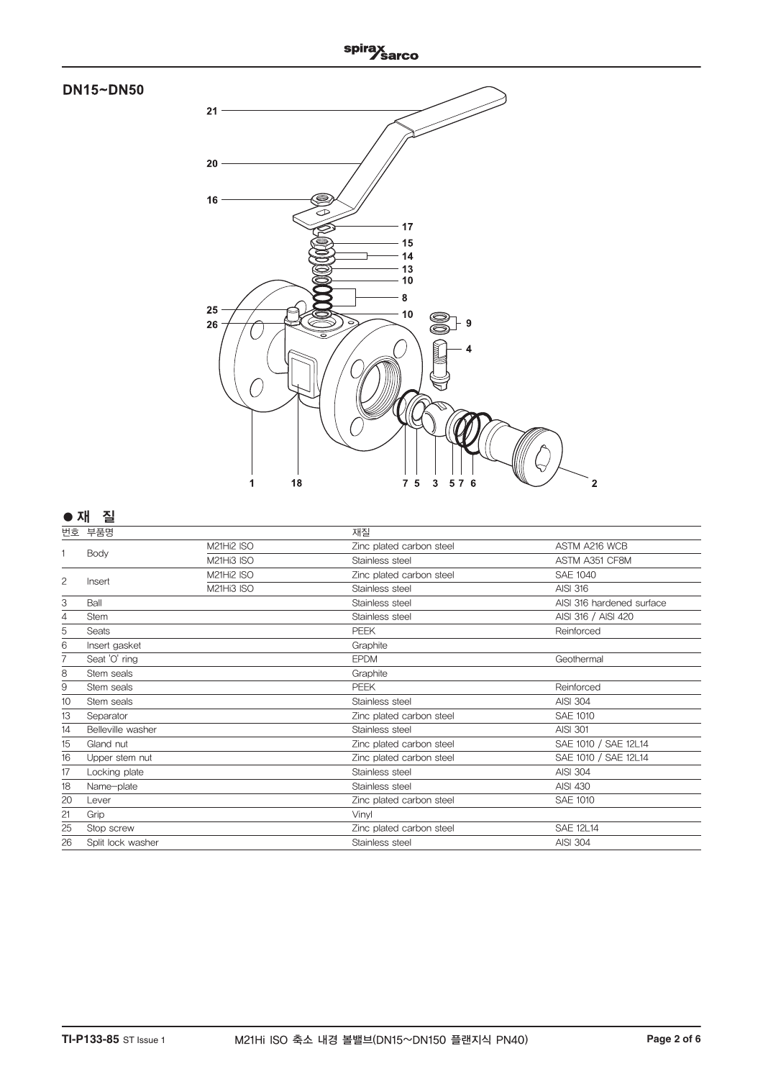

| 번호              | 부품명               |                   | 재질                       |                           |
|-----------------|-------------------|-------------------|--------------------------|---------------------------|
|                 |                   | M21Hi2 ISO        | Zinc plated carbon steel | ASTM A216 WCB             |
|                 | Body              | M21Hi3 ISO        | Stainless steel          | ASTM A351 CF8M            |
| 2               | Insert            | <b>M21Hi2 ISO</b> | Zinc plated carbon steel | <b>SAE 1040</b>           |
|                 |                   | M21Hi3 ISO        | Stainless steel          | <b>AISI 316</b>           |
| 3               | Ball              |                   | Stainless steel          | AISI 316 hardened surface |
| 4               | <b>Stem</b>       |                   | Stainless steel          | AISI 316 / AISI 420       |
| 5               | Seats             |                   | <b>PEEK</b>              | Reinforced                |
| 6               | Insert gasket     |                   | Graphite                 |                           |
|                 | Seat 'O' ring     |                   | <b>EPDM</b>              | Geothermal                |
| 8               | Stem seals        |                   | Graphite                 |                           |
| 9               | Stem seals        |                   | <b>PEEK</b>              | Reinforced                |
| 10 <sup>1</sup> | Stem seals        |                   | Stainless steel          | <b>AISI 304</b>           |
| 13              | Separator         |                   | Zinc plated carbon steel | SAE 1010                  |
| 14              | Belleville washer |                   | Stainless steel          | <b>AISI 301</b>           |
| 15              | Gland nut         |                   | Zinc plated carbon steel | SAE 1010 / SAE 12L14      |
| 16              | Upper stem nut    |                   | Zinc plated carbon steel | SAE 1010 / SAE 12L14      |
| 17              | Locking plate     |                   | Stainless steel          | <b>AISI 304</b>           |
| 18              | Name-plate        |                   | Stainless steel          | <b>AISI 430</b>           |
| 20              | Lever             |                   | Zinc plated carbon steel | SAE 1010                  |
| 21              | Grip              |                   | Vinyl                    |                           |
| 25              | Stop screw        |                   | Zinc plated carbon steel | <b>SAE 12L14</b>          |
| 26              | Split lock washer |                   | Stainless steel          | <b>AISI 304</b>           |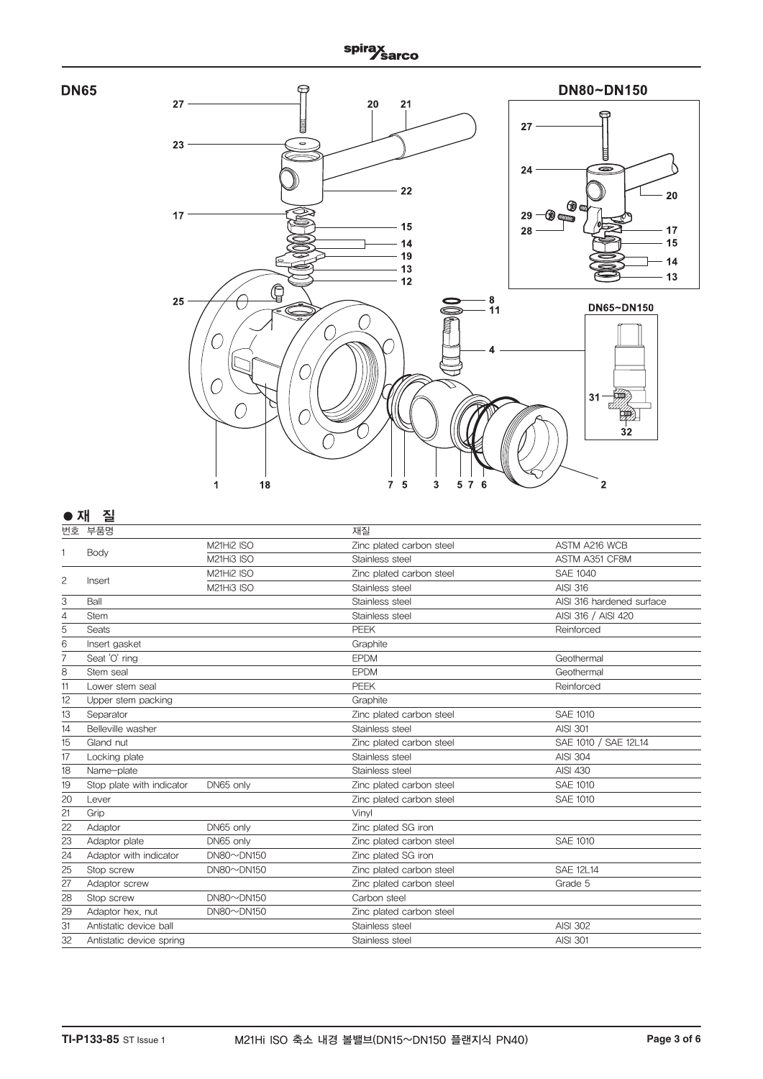



## **● 재 질**

| -  |                           |                   |                          |                           |
|----|---------------------------|-------------------|--------------------------|---------------------------|
|    | 번호 부품명                    |                   | 재질                       |                           |
|    |                           | M21Hi2 ISO        | Zinc plated carbon steel | ASTM A216 WCB             |
|    | Body                      | M21Hi3 ISO        | Stainless steel          | ASTM A351 CF8M            |
|    |                           | M21Hi2 ISO        | Zinc plated carbon steel | <b>SAE 1040</b>           |
| 2  | Insert                    | M21Hi3 ISO        | Stainless steel          | <b>AISI 316</b>           |
| 3  | Ball                      |                   | Stainless steel          | AISI 316 hardened surface |
| 4  | <b>Stem</b>               |                   | Stainless steel          | AISI 316 / AISI 420       |
| 5  | <b>Seats</b>              |                   | <b>PEEK</b>              | Reinforced                |
| 6  | Insert gasket             |                   | Graphite                 |                           |
| 7  | Seat 'O' ring             |                   | <b>EPDM</b>              | Geothermal                |
| 8  | Stem seal                 |                   | <b>EPDM</b>              | Geothermal                |
| 11 | Lower stem seal           |                   | <b>PEEK</b>              | Reinforced                |
| 12 | Upper stem packing        |                   | Graphite                 |                           |
| 13 | Separator                 |                   | Zinc plated carbon steel | <b>SAE 1010</b>           |
| 14 | Belleville washer         |                   | Stainless steel          | <b>AISI 301</b>           |
| 15 | Gland nut                 |                   | Zinc plated carbon steel | SAE 1010 / SAE 12L14      |
| 17 | Locking plate             |                   | Stainless steel          | <b>AISI 304</b>           |
| 18 | Name-plate                |                   | Stainless steel          | <b>AISI 430</b>           |
| 19 | Stop plate with indicator | DN65 only         | Zinc plated carbon steel | <b>SAE 1010</b>           |
| 20 | Lever                     |                   | Zinc plated carbon steel | <b>SAE 1010</b>           |
| 21 | Grip                      |                   | Vinvl                    |                           |
| 22 | Adaptor                   | DN65 only         | Zinc plated SG iron      |                           |
| 23 | Adaptor plate             | DN65 only         | Zinc plated carbon steel | <b>SAE 1010</b>           |
| 24 | Adaptor with indicator    | $DN80 \sim DN150$ | Zinc plated SG iron      |                           |
| 25 | Stop screw                | $DN80 \sim DN150$ | Zinc plated carbon steel | <b>SAE 12L14</b>          |
| 27 | Adaptor screw             |                   | Zinc plated carbon steel | Grade 5                   |
| 28 | Stop screw                | $DN80 \sim DN150$ | Carbon steel             |                           |
| 29 | Adaptor hex, nut          | $DN80 \sim DN150$ | Zinc plated carbon steel |                           |
| 31 | Antistatic device ball    |                   | Stainless steel          | <b>AISI 302</b>           |
| 32 | Antistatic device spring  |                   | Stainless steel          | <b>AISI 301</b>           |
|    |                           |                   |                          |                           |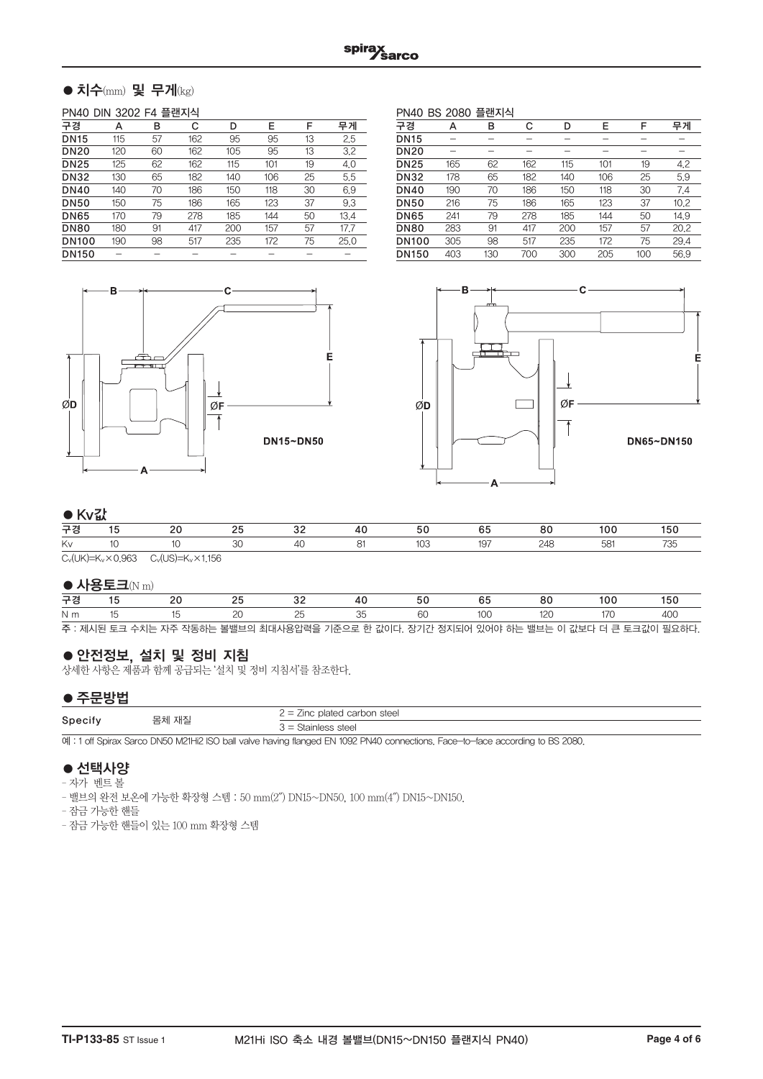## $\bullet$  치수(mm) 및 무게(kg)

#### PN40 DIN 3202 F4 플랜지식

| 구경           | А   | в  | С   | D   | E   | F  | 무게   |
|--------------|-----|----|-----|-----|-----|----|------|
| <b>DN15</b>  | 115 | 57 | 162 | 95  | 95  | 13 | 2.5  |
| <b>DN20</b>  | 120 | 60 | 162 | 105 | 95  | 13 | 3.2  |
| <b>DN25</b>  | 125 | 62 | 162 | 115 | 101 | 19 | 4.0  |
| <b>DN32</b>  | 130 | 65 | 182 | 140 | 106 | 25 | 5.5  |
| <b>DN40</b>  | 140 | 70 | 186 | 150 | 118 | 30 | 6.9  |
| <b>DN50</b>  | 150 | 75 | 186 | 165 | 123 | 37 | 9.3  |
| <b>DN65</b>  | 170 | 79 | 278 | 185 | 144 | 50 | 13.4 |
| <b>DN80</b>  | 180 | 91 | 417 | 200 | 157 | 57 | 17.7 |
| <b>DN100</b> | 190 | 98 | 517 | 235 | 172 | 75 | 25.0 |
| <b>DN150</b> |     |    |     |     |     |    |      |
|              |     |    |     |     |     |    |      |

PN40 BS 2080 플랜지식 구경 A B C D E F 무게 DN15 - - - - - - - -DN20 - - - - - - - -**DN25** 165 62 162 115 101 19 4.2<br>**DN32** 178 65 182 140 106 25 5.9 DN32 178 65 182 140 106 25 5.9 00 190 70 186 150 118 30 7.4<br>00 216 75 186 165 123 37 10.2 001 216 75 186 165 123 37 10.2<br>001 241 79 278 185 144 50 14.9 DN65 241 79 278 185 144 50 14.9 DN80 283 91 417 200 157 57 20.2 DN100 305 98 517 235 172 75 29.4 DN150 403 130 700 300 205 100 56.9





## $\triangle$ Kv $\mathbb{Z}^{\frac{1}{2}}$

|    | $\bullet$ inview |  |  |  |  |                   |  |          |            |  |
|----|------------------|--|--|--|--|-------------------|--|----------|------------|--|
| 구경 |                  |  |  |  |  |                   |  | o٢<br>οu | <b>UIL</b> |  |
| Kv |                  |  |  |  |  | $U_{\mathcal{L}}$ |  |          |            |  |
|    |                  |  |  |  |  |                   |  |          |            |  |

 $C_v(UK)=K_v\times 0.963$   $C_v(US)=K_v\times 1.156$ 

#### $\bullet$  사용토크(N m)

| __  |  |  |  |                                                                                          |  |  |
|-----|--|--|--|------------------------------------------------------------------------------------------|--|--|
| 구경  |  |  |  |                                                                                          |  |  |
| N m |  |  |  |                                                                                          |  |  |
|     |  |  |  | 주 : 제시된 토크 수치는 자주 작동하는 볼밸브의 최대사용압력을 기준으로 한 값이다. 장기간 정지되어 있어야 하는 밸브는 이 값보다 더 큰 토크값이 필요하다. |  |  |

●안전정보, 설치 및 정비 지침

상세한 사항은 제품과 함께 공급되는 '설치 및 정비 지침서'를 참조한다.

## ●주문방법

| ------  |       |                                                                               |
|---------|-------|-------------------------------------------------------------------------------|
| Specify |       | : plated carbon steel<br>$\overline{\phantom{0}}$<br>$\sqrt{2}$<br>- -<br>$-$ |
|         | 몸체 재질 | } = Stainless steel                                                           |

예 : 1 off Spirax Sarco DN50 M21Hi2 ISO ball valve having flanged EN 1092 PN40 connections. Face-to-face according to BS 2080.

## ● 선택사양

– 자가 벤트 볼

– 밸브의 완전 보온에 가능한 확장형 스템 : 50 mm(2″) DN15~DN50, 100 mm(4″) DN15~DN150.

– 잠금 가능한 핸들

– 잠금 가능한 핸들이 있는 100 mm 확장형 스템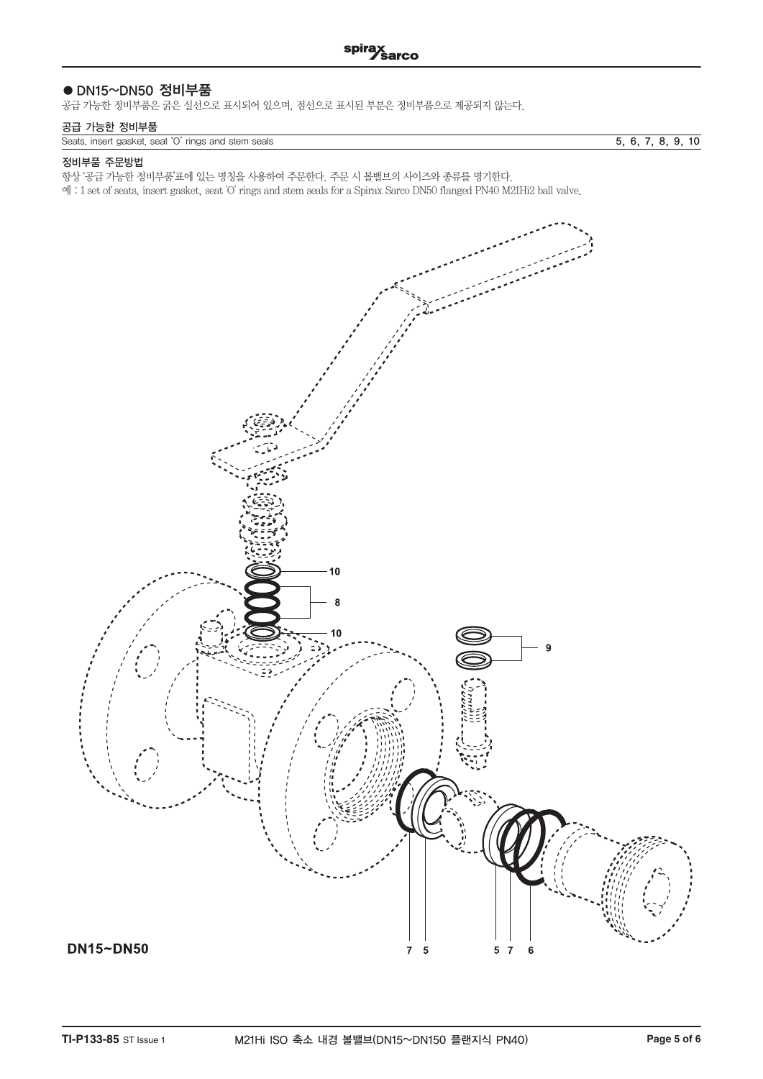## ● DN15~DN50 정비부품

공급 가능한 정비부품은 굵은 실선으로 표시되어 있으며, 점선으로 표시된 부분은 정비부품으로 제공되지 않는다.

### 공급 가능한 정비부품

|  | Seats insert gasket seat 'O' rings and stem seals |  |
|--|---------------------------------------------------|--|

 $\overline{5, 6, 7, 8, 9, 10}$ 

#### 정비부품 주문방법

항상 '공급 가능한 정비부품'표에 있는 명칭을 사용하여 주문한다. 주문 시 볼밸브의 사이즈와 종류를 명기한다.

예 : 1 set of seats, insert gasket, seat 'O' rings and stem seals for a Spirax Sarco DN50 flanged PN40 M21Hi2 ball valve.